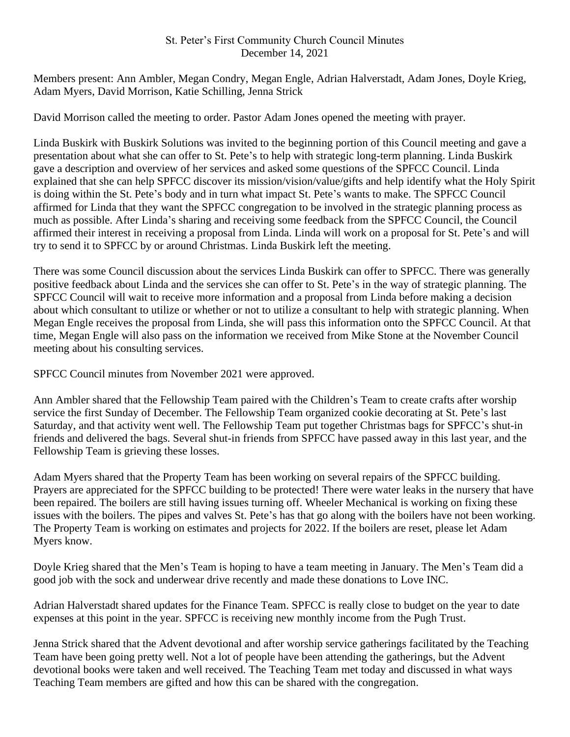## St. Peter's First Community Church Council Minutes December 14, 2021

Members present: Ann Ambler, Megan Condry, Megan Engle, Adrian Halverstadt, Adam Jones, Doyle Krieg, Adam Myers, David Morrison, Katie Schilling, Jenna Strick

David Morrison called the meeting to order. Pastor Adam Jones opened the meeting with prayer.

Linda Buskirk with Buskirk Solutions was invited to the beginning portion of this Council meeting and gave a presentation about what she can offer to St. Pete's to help with strategic long-term planning. Linda Buskirk gave a description and overview of her services and asked some questions of the SPFCC Council. Linda explained that she can help SPFCC discover its mission/vision/value/gifts and help identify what the Holy Spirit is doing within the St. Pete's body and in turn what impact St. Pete's wants to make. The SPFCC Council affirmed for Linda that they want the SPFCC congregation to be involved in the strategic planning process as much as possible. After Linda's sharing and receiving some feedback from the SPFCC Council, the Council affirmed their interest in receiving a proposal from Linda. Linda will work on a proposal for St. Pete's and will try to send it to SPFCC by or around Christmas. Linda Buskirk left the meeting.

There was some Council discussion about the services Linda Buskirk can offer to SPFCC. There was generally positive feedback about Linda and the services she can offer to St. Pete's in the way of strategic planning. The SPFCC Council will wait to receive more information and a proposal from Linda before making a decision about which consultant to utilize or whether or not to utilize a consultant to help with strategic planning. When Megan Engle receives the proposal from Linda, she will pass this information onto the SPFCC Council. At that time, Megan Engle will also pass on the information we received from Mike Stone at the November Council meeting about his consulting services.

SPFCC Council minutes from November 2021 were approved.

Ann Ambler shared that the Fellowship Team paired with the Children's Team to create crafts after worship service the first Sunday of December. The Fellowship Team organized cookie decorating at St. Pete's last Saturday, and that activity went well. The Fellowship Team put together Christmas bags for SPFCC's shut-in friends and delivered the bags. Several shut-in friends from SPFCC have passed away in this last year, and the Fellowship Team is grieving these losses.

Adam Myers shared that the Property Team has been working on several repairs of the SPFCC building. Prayers are appreciated for the SPFCC building to be protected! There were water leaks in the nursery that have been repaired. The boilers are still having issues turning off. Wheeler Mechanical is working on fixing these issues with the boilers. The pipes and valves St. Pete's has that go along with the boilers have not been working. The Property Team is working on estimates and projects for 2022. If the boilers are reset, please let Adam Myers know.

Doyle Krieg shared that the Men's Team is hoping to have a team meeting in January. The Men's Team did a good job with the sock and underwear drive recently and made these donations to Love INC.

Adrian Halverstadt shared updates for the Finance Team. SPFCC is really close to budget on the year to date expenses at this point in the year. SPFCC is receiving new monthly income from the Pugh Trust.

Jenna Strick shared that the Advent devotional and after worship service gatherings facilitated by the Teaching Team have been going pretty well. Not a lot of people have been attending the gatherings, but the Advent devotional books were taken and well received. The Teaching Team met today and discussed in what ways Teaching Team members are gifted and how this can be shared with the congregation.